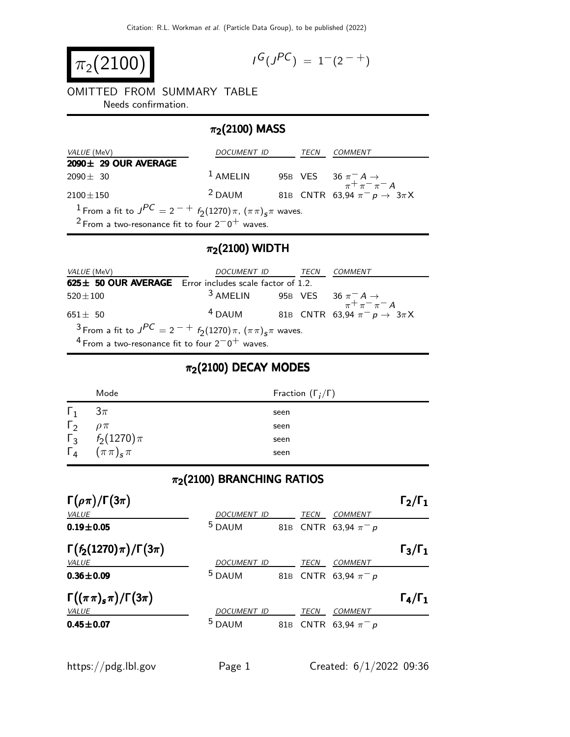$$
\pi_2(2100)
$$

$$
I^G(J^{PC}) = 1^-(2^{-+})
$$

# OMITTED FROM SUMMARY TABLE

Needs confirmation.

Ξ

## $\pi_2(2100)$  MASS

| <i>VALUE</i> (MeV)                                                                    | <i>DOCUMENT ID</i> |  | TECN | COMMENT                                                   |  |
|---------------------------------------------------------------------------------------|--------------------|--|------|-----------------------------------------------------------|--|
| $2090 \pm 29$ OUR AVERAGE                                                             |                    |  |      |                                                           |  |
| $2090 + 30$                                                                           | $1$ AMELIN         |  |      | 95B VES 36 $\pi^- A \rightarrow$<br>$\pi^+ \pi^- \pi^- A$ |  |
| $2100 \pm 150$                                                                        | $2$ DAUM           |  |      | 81B CNTR 63,94 $\pi^{-} p \to 3\pi X$                     |  |
| <sup>1</sup> From a fit to $J^{PC} = 2^{-} + f_2(1270)\pi$ , $(\pi \pi)_s \pi$ waves. |                    |  |      |                                                           |  |
| <sup>2</sup> From a two-resonance fit to four $2^-0^+$ waves.                         |                    |  |      |                                                           |  |

## $\pi_2(2100)$  WIDTH

| <i>VALUE</i> (MeV)                                                               | DOCUMENT ID |  | TECN | COMMENT                                                               |  |
|----------------------------------------------------------------------------------|-------------|--|------|-----------------------------------------------------------------------|--|
| 625± 50 OUR AVERAGE Error includes scale factor of 1.2.                          |             |  |      |                                                                       |  |
| $520 \pm 100$                                                                    |             |  |      | 3 AMELIN 95B VES $36 \pi^{-} A \rightarrow \pi^{+} \pi^{-} \pi^{-} A$ |  |
| $651 + 50$                                                                       | $4$ DAUM    |  |      | 81B CNTR 63,94 $\pi^ p \to 3\pi$ X                                    |  |
| $3$ From a fit to $J^{PC} = 2^{-} + f_2(1270)\pi$ , $(\pi \pi)_{\pi} \pi$ waves. |             |  |      |                                                                       |  |
| <sup>4</sup> From a two-resonance fit to four $2^-0^+$ waves.                    |             |  |      |                                                                       |  |

#### $\pi_2$ (2100) DECAY MODES

|            | Mode                         | Fraction $(\Gamma_i/\Gamma)$ |
|------------|------------------------------|------------------------------|
| $\Gamma_1$ | $3\pi$                       | seen                         |
| $\Gamma_2$ | $\rho \pi$                   | seen                         |
|            | $\Gamma_3$ $f_2(1270)\pi$    | seen                         |
|            | $\Gamma_4$ $(\pi \pi)_s \pi$ | seen                         |

## $\pi_2$ (2100) BRANCHING RATIOS

| $\Gamma(\rho\pi)/\Gamma(3\pi)$                  |                    |     |      |                          | $\Gamma_2/\Gamma_1$ |
|-------------------------------------------------|--------------------|-----|------|--------------------------|---------------------|
| VALUE                                           | <b>DOCUMENT ID</b> |     | TECN | <b>COMMENT</b>           |                     |
| $0.19 + 0.05$                                   | <sup>5</sup> DAUM  |     |      | 81B CNTR 63,94 $\pi^- p$ |                     |
| $\Gamma(f_2(1270)\pi)/\Gamma(3\pi)$             |                    |     |      |                          | $\Gamma_3/\Gamma_1$ |
| VALUE                                           | <b>DOCUMENT ID</b> |     | TECN | <b>COMMENT</b>           |                     |
| $0.36 \pm 0.09$                                 | <sup>5</sup> DAUM  |     |      | 81B CNTR 63.94 $\pi^- p$ |                     |
| $\Gamma((\pi\pi)_{\mathbf{s}}\pi)/\Gamma(3\pi)$ |                    |     |      |                          | $\Gamma_4/\Gamma_1$ |
| VALUE                                           | <b>DOCUMENT ID</b> |     | TECN | <b>COMMENT</b>           |                     |
| $0.45 + 0.07$                                   | 5<br><b>DAUM</b>   | 81B |      | CNTR 63,94 $\pi^-$ p     |                     |
|                                                 |                    |     |      |                          |                     |